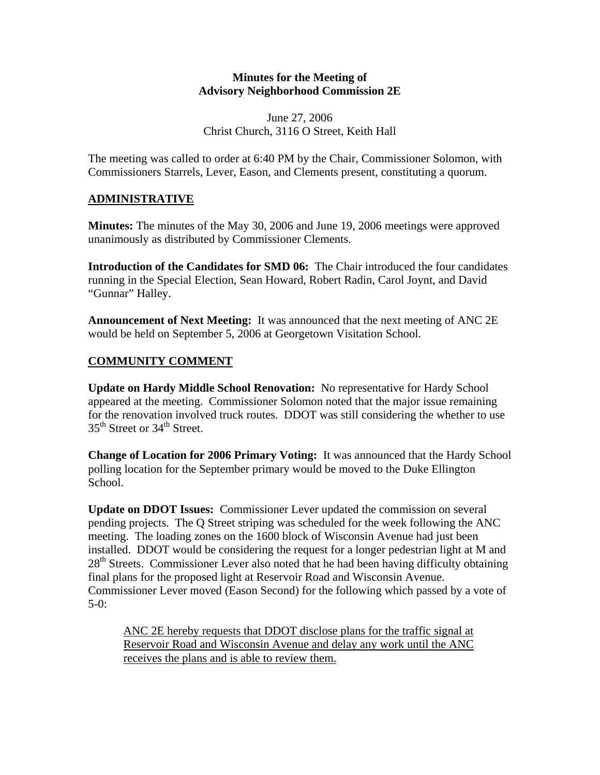#### **Minutes for the Meeting of Advisory Neighborhood Commission 2E**

June 27, 2006 Christ Church, 3116 O Street, Keith Hall

The meeting was called to order at 6:40 PM by the Chair, Commissioner Solomon, with Commissioners Starrels, Lever, Eason, and Clements present, constituting a quorum.

# **ADMINISTRATIVE**

**Minutes:** The minutes of the May 30, 2006 and June 19, 2006 meetings were approved unanimously as distributed by Commissioner Clements.

**Introduction of the Candidates for SMD 06:** The Chair introduced the four candidates running in the Special Election, Sean Howard, Robert Radin, Carol Joynt, and David "Gunnar" Halley.

**Announcement of Next Meeting:** It was announced that the next meeting of ANC 2E would be held on September 5, 2006 at Georgetown Visitation School.

# **COMMUNITY COMMENT**

**Update on Hardy Middle School Renovation:** No representative for Hardy School appeared at the meeting. Commissioner Solomon noted that the major issue remaining for the renovation involved truck routes. DDOT was still considering the whether to use 35<sup>th</sup> Street or 34<sup>th</sup> Street.

**Change of Location for 2006 Primary Voting:** It was announced that the Hardy School polling location for the September primary would be moved to the Duke Ellington School.

**Update on DDOT Issues:** Commissioner Lever updated the commission on several pending projects. The Q Street striping was scheduled for the week following the ANC meeting. The loading zones on the 1600 block of Wisconsin Avenue had just been installed. DDOT would be considering the request for a longer pedestrian light at M and  $28<sup>th</sup>$  Streets. Commissioner Lever also noted that he had been having difficulty obtaining final plans for the proposed light at Reservoir Road and Wisconsin Avenue. Commissioner Lever moved (Eason Second) for the following which passed by a vote of  $5-0:$ 

ANC 2E hereby requests that DDOT disclose plans for the traffic signal at Reservoir Road and Wisconsin Avenue and delay any work until the ANC receives the plans and is able to review them.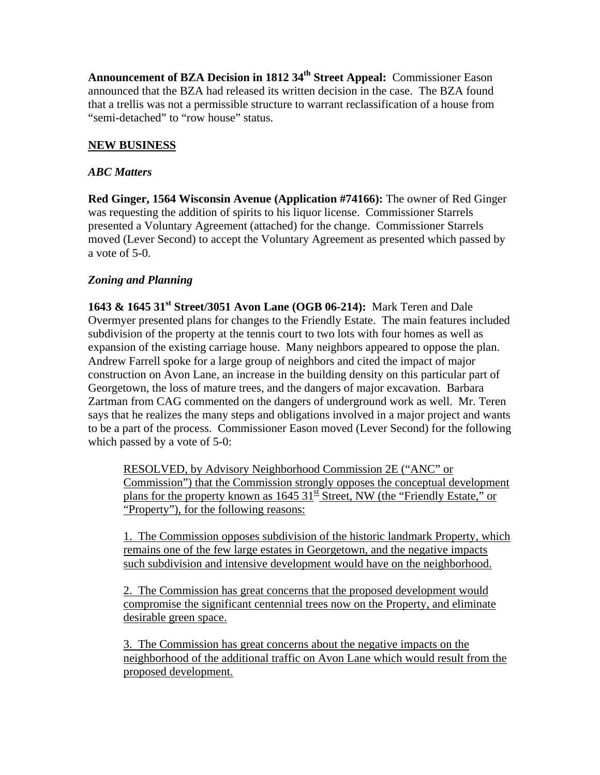Announcement of BZA Decision in 1812 34<sup>th</sup> Street Appeal: Commissioner Eason announced that the BZA had released its written decision in the case. The BZA found that a trellis was not a permissible structure to warrant reclassification of a house from "semi-detached" to "row house" status.

## **NEW BUSINESS**

#### *ABC Matters*

**Red Ginger, 1564 Wisconsin Avenue (Application #74166):** The owner of Red Ginger was requesting the addition of spirits to his liquor license. Commissioner Starrels presented a Voluntary Agreement (attached) for the change. Commissioner Starrels moved (Lever Second) to accept the Voluntary Agreement as presented which passed by a vote of 5-0.

### *Zoning and Planning*

**1643 & 1645 31st Street/3051 Avon Lane (OGB 06-214):** Mark Teren and Dale Overmyer presented plans for changes to the Friendly Estate. The main features included subdivision of the property at the tennis court to two lots with four homes as well as expansion of the existing carriage house. Many neighbors appeared to oppose the plan. Andrew Farrell spoke for a large group of neighbors and cited the impact of major construction on Avon Lane, an increase in the building density on this particular part of Georgetown, the loss of mature trees, and the dangers of major excavation. Barbara Zartman from CAG commented on the dangers of underground work as well. Mr. Teren says that he realizes the many steps and obligations involved in a major project and wants to be a part of the process. Commissioner Eason moved (Lever Second) for the following which passed by a vote of 5-0:

RESOLVED, by Advisory Neighborhood Commission 2E ("ANC" or Commission") that the Commission strongly opposes the conceptual development plans for the property known as  $1645 \frac{31}{5}$  Street, NW (the "Friendly Estate," or "Property"), for the following reasons:

1. The Commission opposes subdivision of the historic landmark Property, which remains one of the few large estates in Georgetown, and the negative impacts such subdivision and intensive development would have on the neighborhood.

2. The Commission has great concerns that the proposed development would compromise the significant centennial trees now on the Property, and eliminate desirable green space.

3. The Commission has great concerns about the negative impacts on the neighborhood of the additional traffic on Avon Lane which would result from the proposed development.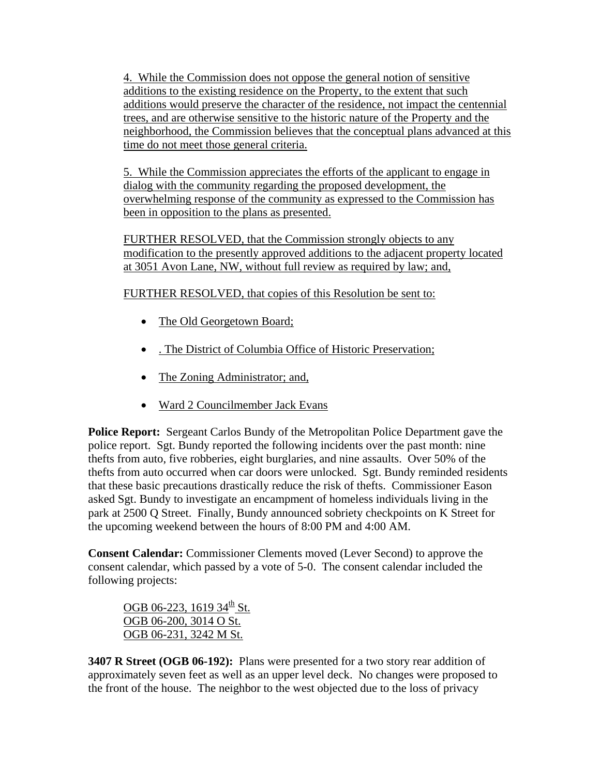4. While the Commission does not oppose the general notion of sensitive additions to the existing residence on the Property, to the extent that such additions would preserve the character of the residence, not impact the centennial trees, and are otherwise sensitive to the historic nature of the Property and the neighborhood, the Commission believes that the conceptual plans advanced at this time do not meet those general criteria.

5. While the Commission appreciates the efforts of the applicant to engage in dialog with the community regarding the proposed development, the overwhelming response of the community as expressed to the Commission has been in opposition to the plans as presented.

FURTHER RESOLVED, that the Commission strongly objects to any modification to the presently approved additions to the adjacent property located at 3051 Avon Lane, NW, without full review as required by law; and,

FURTHER RESOLVED, that copies of this Resolution be sent to:

- The Old Georgetown Board;
- . The District of Columbia Office of Historic Preservation;
- The Zoning Administrator; and,
- Ward 2 Councilmember Jack Evans

**Police Report:** Sergeant Carlos Bundy of the Metropolitan Police Department gave the police report. Sgt. Bundy reported the following incidents over the past month: nine thefts from auto, five robberies, eight burglaries, and nine assaults. Over 50% of the thefts from auto occurred when car doors were unlocked. Sgt. Bundy reminded residents that these basic precautions drastically reduce the risk of thefts. Commissioner Eason asked Sgt. Bundy to investigate an encampment of homeless individuals living in the park at 2500 Q Street. Finally, Bundy announced sobriety checkpoints on K Street for the upcoming weekend between the hours of 8:00 PM and 4:00 AM.

**Consent Calendar:** Commissioner Clements moved (Lever Second) to approve the consent calendar, which passed by a vote of 5-0. The consent calendar included the following projects:

OGB 06-223, 1619 34<sup>th</sup> St. OGB 06-200, 3014 O St. OGB 06-231, 3242 M St.

**3407 R Street (OGB 06-192):** Plans were presented for a two story rear addition of approximately seven feet as well as an upper level deck. No changes were proposed to the front of the house. The neighbor to the west objected due to the loss of privacy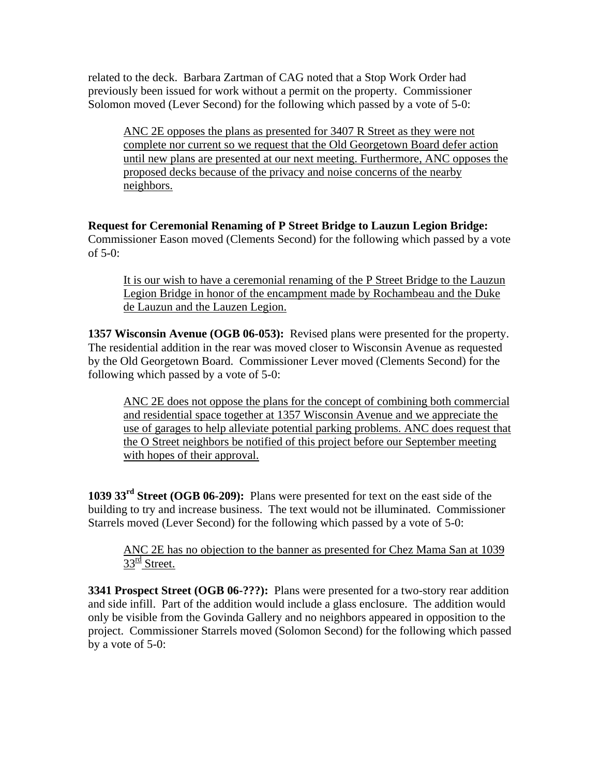related to the deck. Barbara Zartman of CAG noted that a Stop Work Order had previously been issued for work without a permit on the property. Commissioner Solomon moved (Lever Second) for the following which passed by a vote of 5-0:

ANC 2E opposes the plans as presented for 3407 R Street as they were not complete nor current so we request that the Old Georgetown Board defer action until new plans are presented at our next meeting. Furthermore, ANC opposes the proposed decks because of the privacy and noise concerns of the nearby neighbors.

**Request for Ceremonial Renaming of P Street Bridge to Lauzun Legion Bridge:** Commissioner Eason moved (Clements Second) for the following which passed by a vote of 5-0:

It is our wish to have a ceremonial renaming of the P Street Bridge to the Lauzun Legion Bridge in honor of the encampment made by Rochambeau and the Duke de Lauzun and the Lauzen Legion.

**1357 Wisconsin Avenue (OGB 06-053):** Revised plans were presented for the property. The residential addition in the rear was moved closer to Wisconsin Avenue as requested by the Old Georgetown Board. Commissioner Lever moved (Clements Second) for the following which passed by a vote of 5-0:

ANC 2E does not oppose the plans for the concept of combining both commercial and residential space together at 1357 Wisconsin Avenue and we appreciate the use of garages to help alleviate potential parking problems. ANC does request that the O Street neighbors be notified of this project before our September meeting with hopes of their approval.

**1039 33rd Street (OGB 06-209):** Plans were presented for text on the east side of the building to try and increase business. The text would not be illuminated. Commissioner Starrels moved (Lever Second) for the following which passed by a vote of 5-0:

ANC 2E has no objection to the banner as presented for Chez Mama San at 1039  $33<sup>rd</sup>$  Street.

**3341 Prospect Street (OGB 06-???):** Plans were presented for a two-story rear addition and side infill. Part of the addition would include a glass enclosure. The addition would only be visible from the Govinda Gallery and no neighbors appeared in opposition to the project. Commissioner Starrels moved (Solomon Second) for the following which passed by a vote of 5-0: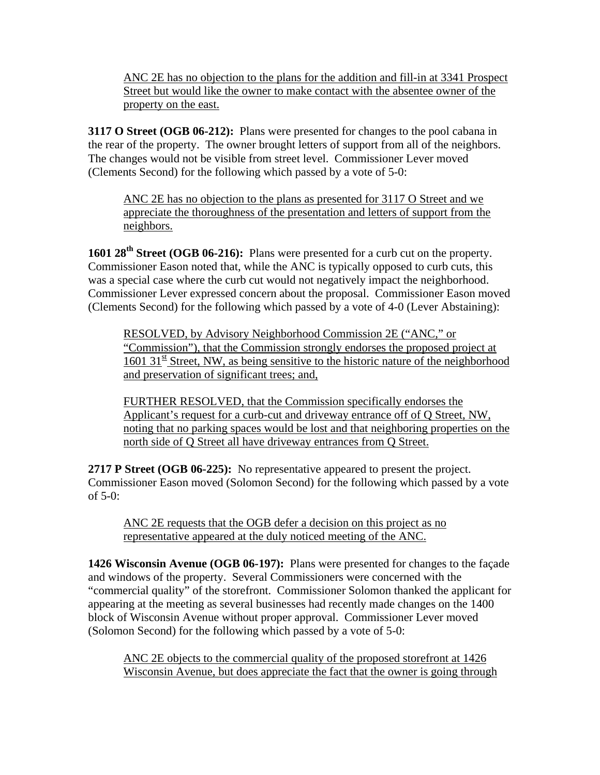ANC 2E has no objection to the plans for the addition and fill-in at 3341 Prospect Street but would like the owner to make contact with the absentee owner of the property on the east.

**3117 O Street (OGB 06-212):** Plans were presented for changes to the pool cabana in the rear of the property. The owner brought letters of support from all of the neighbors. The changes would not be visible from street level. Commissioner Lever moved (Clements Second) for the following which passed by a vote of 5-0:

ANC 2E has no objection to the plans as presented for 3117 O Street and we appreciate the thoroughness of the presentation and letters of support from the neighbors.

**1601 28th Street (OGB 06-216):** Plans were presented for a curb cut on the property. Commissioner Eason noted that, while the ANC is typically opposed to curb cuts, this was a special case where the curb cut would not negatively impact the neighborhood. Commissioner Lever expressed concern about the proposal. Commissioner Eason moved (Clements Second) for the following which passed by a vote of 4-0 (Lever Abstaining):

RESOLVED, by Advisory Neighborhood Commission 2E ("ANC," or "Commission"), that the Commission strongly endorses the proposed project at  $1601 \, 31^{\text{st}}$  Street, NW, as being sensitive to the historic nature of the neighborhood and preservation of significant trees; and,

FURTHER RESOLVED, that the Commission specifically endorses the Applicant's request for a curb-cut and driveway entrance off of Q Street, NW, noting that no parking spaces would be lost and that neighboring properties on the north side of Q Street all have driveway entrances from Q Street.

**2717 P Street (OGB 06-225):** No representative appeared to present the project. Commissioner Eason moved (Solomon Second) for the following which passed by a vote of 5-0:

ANC 2E requests that the OGB defer a decision on this project as no representative appeared at the duly noticed meeting of the ANC.

**1426 Wisconsin Avenue (OGB 06-197):** Plans were presented for changes to the façade and windows of the property. Several Commissioners were concerned with the "commercial quality" of the storefront. Commissioner Solomon thanked the applicant for appearing at the meeting as several businesses had recently made changes on the 1400 block of Wisconsin Avenue without proper approval. Commissioner Lever moved (Solomon Second) for the following which passed by a vote of 5-0:

ANC 2E objects to the commercial quality of the proposed storefront at 1426 Wisconsin Avenue, but does appreciate the fact that the owner is going through